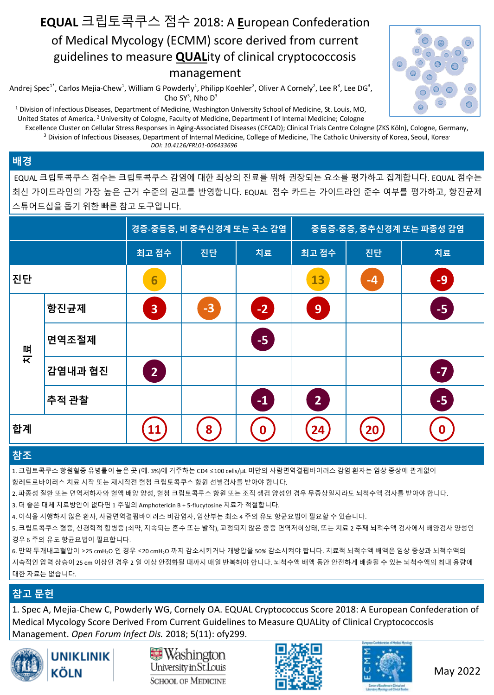# **EQUAL** 크립토콕쿠스 점수 2018: A **E**uropean Confederation of Medical Mycology (ECMM) score derived from current guidelines to measure **QUAL**ity of clinical cryptococcosis management

Andrej Spec $^{1*}$ , Carlos Mejia-Chew $^1$ , William G Powderly $^1$ , Philipp Koehler $^2$ , Oliver A Cornely $^2$ , Lee R $^3$ , Lee DG $^3$ , Cho SY<sup>3</sup>, Nho D<sup>3</sup>

<sup>1</sup> Division of Infectious Diseases, Department of Medicine, Washington University School of Medicine, St. Louis, MO, United States of America. <sup>2</sup>University of Cologne, Faculty of Medicine, Department I of Internal Medicine; Cologne

Excellence Cluster on Cellular Stress Responses in Aging-Associated Diseases (CECAD); Clinical Trials Centre Cologne (ZKS Köln), Cologne, Germany, <sup>3</sup> Division of Infectious Diseases, Department of Internal Medicine, College of Medicine, The Catholic University of Korea, Seoul, Korea.  *DOI: 10.4126/FRL01-006433696*

#### **배경**

EQUAL 크립토콕쿠스 점수는 크립토콕쿠스 감염에 대한 최상의 진료를 위해 권장되는 요소를 평가하고 집계합니다. EQUAL 점수는 최신 가이드라인의 가장 높은 근거 수준의 권고를 반영합니다. EQUAL 점수 카드는 가이드라인 준수 여부를 평가하고, 항진균제 스튜어드십을 돕기 위한 빠른 참고 도구입니다.

|    |         | 경증-중등증, 비 중추신경계 또는 국소 감염 |    |               | 중등증-중증, 중추신경계 또는 파종성 감염 |      |      |
|----|---------|--------------------------|----|---------------|-------------------------|------|------|
|    |         | 최고 점수                    | 진단 | 치료            | 최고 점수                   | 진단   | 치료   |
| 진단 |         | 6                        |    |               | 13                      | $-4$ | -9   |
| 류  | 항진균제    | 3                        | -3 | $-2$          | 9                       |      | $-5$ |
|    | 면역조절제   |                          |    | $-5$          |                         |      |      |
|    | 감염내과 협진 | $\overline{2}$           |    |               |                         |      | $-7$ |
|    | 추적 관찰   |                          |    | $\mathbf{-1}$ | $\overline{2}$          |      | -5   |
| 합계 |         |                          | 8  | 0             | 24                      | 20   | 0    |

#### **참조**

1. 크립토콕쿠스 항원혈증 유병률이 높은 곳 (예. 3%)에 거주하는 CD4 ≤100 cells/μL 미만의 사람면역결핍바이러스 감염 환자는 임상 증상에 관계없이 항레트로바이러스 치료 시작 또는 재시작전 혈청 크립토콕쿠스 항원 선별검사를 받아야 합니다.

2. 파종성 질환 또는 면역저하자와 혈액 배양 양성, 혈청 크립토콕쿠스 항원 또는 조직 생검 양성인 경우 무증상일지라도 뇌척수액 검사를 받아야 합니다.

3. 더 좋은 대체 치료방안이 없다면 1 주일의 Amphotericin B + 5-flucytosine 치료가 적절합니다.

4. 이식을 시행하지 않은 환자, 사람면역결핍바이러스 비감염자, 임산부는 최소 4 주의 유도 항균요법이 필요할 수 있습니다.

5. 크립토콕쿠스 혈증, 신경학적 합병증 (쇠약, 지속되는 혼수 또는 발작), 교정되지 않은 중증 면역저하상태, 또는 치료 2 주째 뇌척수액 검사에서 배양검사 양성인 경우 6 주의 유도 항균요법이 필요합니다.

6. 만약 두개내고혈압이 ≥25 cmH2O 인 경우 ≤20 cmH2O 까지 감소시키거나 개방압을 50% 감소시켜야 합니다. 치료적 뇌척수액 배액은 임상 증상과 뇌척수액의 지속적인 압력 상승이 25 cm 이상인 경우 2 일 이상 안정화될 때까지 매일 반복해야 합니다. 뇌척수액 배액 동안 안전하게 배출될 수 있는 뇌척수액의 최대 용량에 대한 자료는 없습니다.

### **참고 문헌**

1. Spec A, Mejia-Chew C, Powderly WG, Cornely OA. EQUAL Cryptococcus Score 2018: A European Confederation of Medical Mycology Score Derived From Current Guidelines to Measure QUALity of Clinical Cryptococcosis Management. *Open Forum Infect Dis.* 2018; 5(11): ofy299.